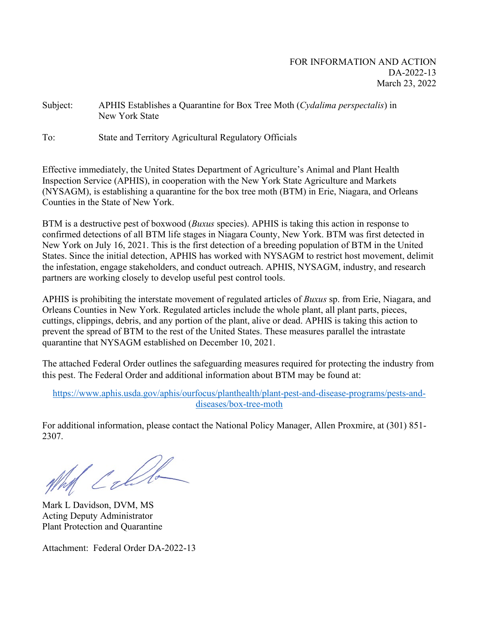Subject: APHIS Establishes a Quarantine for Box Tree Moth (*Cydalima perspectalis*) in New York State

To: State and Territory Agricultural Regulatory Officials

Effective immediately, the United States Department of Agriculture's Animal and Plant Health Inspection Service (APHIS), in cooperation with the New York State Agriculture and Markets (NYSAGM), is establishing a quarantine for the box tree moth (BTM) in Erie, Niagara, and Orleans Counties in the State of New York.

BTM is a destructive pest of boxwood (*Buxus* species). APHIS is taking this action in response to confirmed detections of all BTM life stages in Niagara County, New York. BTM was first detected in New York on July 16, 2021. This is the first detection of a breeding population of BTM in the United States. Since the initial detection, APHIS has worked with NYSAGM to restrict host movement, delimit the infestation, engage stakeholders, and conduct outreach. APHIS, NYSAGM, industry, and research partners are working closely to develop useful pest control tools.

APHIS is prohibiting the interstate movement of regulated articles of *Buxus* sp. from Erie, Niagara, and Orleans Counties in New York. Regulated articles include the whole plant, all plant parts, pieces, cuttings, clippings, debris, and any portion of the plant, alive or dead. APHIS is taking this action to prevent the spread of BTM to the rest of the United States. These measures parallel the intrastate quarantine that NYSAGM established on December 10, 2021.

The attached Federal Order outlines the safeguarding measures required for protecting the industry from this pest. The Federal Order and additional information about BTM may be found at:

[https://www.aphis.usda.gov/aphis/ourfocus/planthealth/plant-pest-and-disease-programs/pests-and](https://www.aphis.usda.gov/aphis/ourfocus/planthealth/plant-pest-and-disease-programs/pests-and-diseases/box-tree-moth)[diseases/box-tree-moth](https://www.aphis.usda.gov/aphis/ourfocus/planthealth/plant-pest-and-disease-programs/pests-and-diseases/box-tree-moth)

For additional information, please contact the National Policy Manager, Allen Proxmire, at (301) 851- 2307.

Well Calle

Mark L Davidson, DVM, MS Acting Deputy Administrator Plant Protection and Quarantine

Attachment: Federal Order DA-2022-13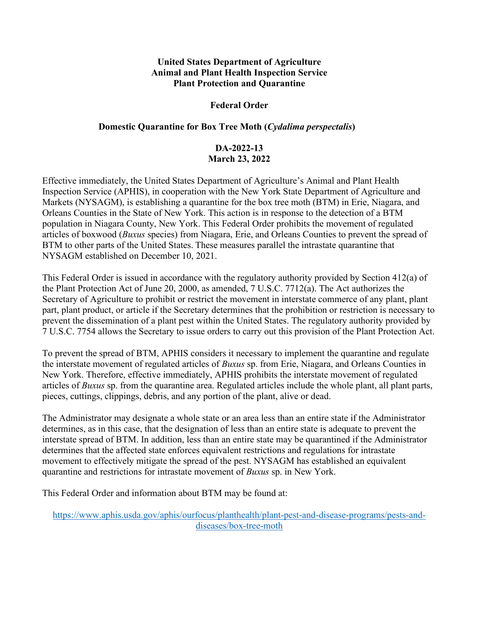#### **United States Department of Agriculture Animal and Plant Health Inspection Service Plant Protection and Quarantine**

#### **Federal Order**

#### **Domestic Quarantine for Box Tree Moth (***Cydalima perspectalis***)**

## **DA-2022-13 March 23, 2022**

Effective immediately, the United States Department of Agriculture's Animal and Plant Health Inspection Service (APHIS), in cooperation with the New York State Department of Agriculture and Markets (NYSAGM), is establishing a quarantine for the box tree moth (BTM) in Erie, Niagara, and Orleans Counties in the State of New York. This action is in response to the detection of a BTM population in Niagara County, New York. This Federal Order prohibits the movement of regulated articles of boxwood (*Buxus* species) from Niagara, Erie, and Orleans Counties to prevent the spread of BTM to other parts of the United States. These measures parallel the intrastate quarantine that NYSAGM established on December 10, 2021.

This Federal Order is issued in accordance with the regulatory authority provided by Section 412(a) of the Plant Protection Act of June 20, 2000, as amended, 7 U.S.C. 7712(a). The Act authorizes the Secretary of Agriculture to prohibit or restrict the movement in interstate commerce of any plant, plant part, plant product, or article if the Secretary determines that the prohibition or restriction is necessary to prevent the dissemination of a plant pest within the United States. The regulatory authority provided by 7 U.S.C. 7754 allows the Secretary to issue orders to carry out this provision of the Plant Protection Act.

To prevent the spread of BTM, APHIS considers it necessary to implement the quarantine and regulate the interstate movement of regulated articles of *Buxus* sp. from Erie, Niagara, and Orleans Counties in New York. Therefore, effective immediately, APHIS prohibits the interstate movement of regulated articles of *Buxus* sp. from the quarantine area. Regulated articles include the whole plant, all plant parts, pieces, cuttings, clippings, debris, and any portion of the plant, alive or dead.

The Administrator may designate a whole state or an area less than an entire state if the Administrator determines, as in this case, that the designation of less than an entire state is adequate to prevent the interstate spread of BTM. In addition, less than an entire state may be quarantined if the Administrator determines that the affected state enforces equivalent restrictions and regulations for intrastate movement to effectively mitigate the spread of the pest. NYSAGM has established an equivalent quarantine and restrictions for intrastate movement of *Buxus* sp. in New York.

This Federal Order and information about BTM may be found at:

[https://www.aphis.usda.gov/aphis/ourfocus/planthealth/plant-pest-and-disease-programs/pests-and](https://www.aphis.usda.gov/aphis/ourfocus/planthealth/plant-pest-and-disease-programs/pests-and-diseases/box-tree-moth)[diseases/box-tree-moth](https://www.aphis.usda.gov/aphis/ourfocus/planthealth/plant-pest-and-disease-programs/pests-and-diseases/box-tree-moth)